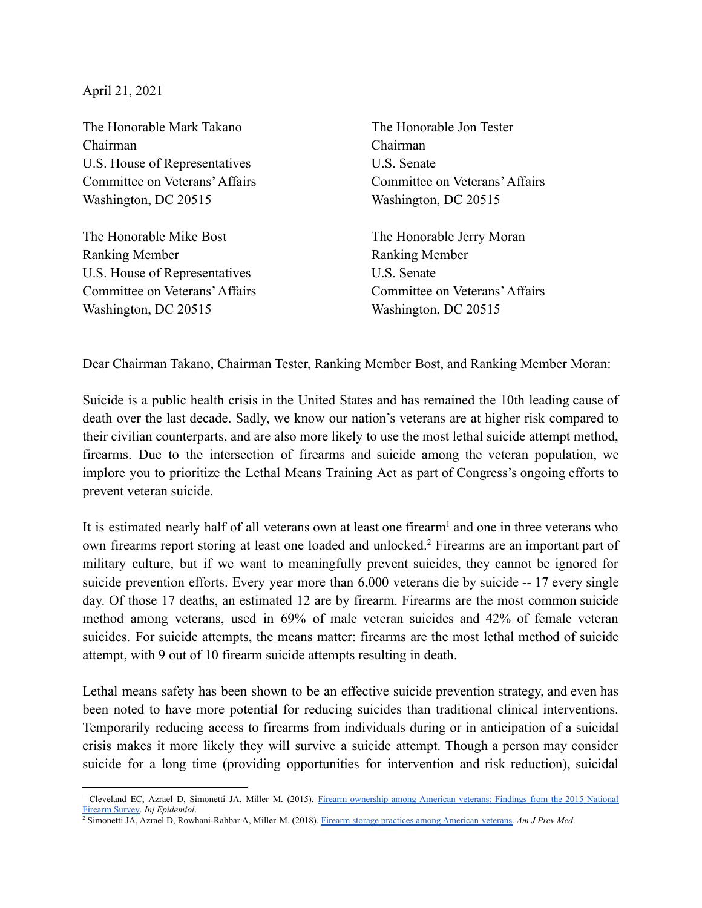April 21, 2021

The Honorable Mark Takano Chairman U.S. House of Representatives Committee on Veterans'Affairs Washington, DC 20515

The Honorable Mike Bost Ranking Member U.S. House of Representatives Committee on Veterans'Affairs Washington, DC 20515

The Honorable Jon Tester Chairman U.S. Senate Committee on Veterans'Affairs Washington, DC 20515

The Honorable Jerry Moran Ranking Member U.S. Senate Committee on Veterans'Affairs Washington, DC 20515

Dear Chairman Takano, Chairman Tester, Ranking Member Bost, and Ranking Member Moran:

Suicide is a public health crisis in the United States and has remained the 10th leading cause of death over the last decade. Sadly, we know our nation's veterans are at higher risk compared to their civilian counterparts, and are also more likely to use the most lethal suicide attempt method, firearms. Due to the intersection of firearms and suicide among the veteran population, we implore you to prioritize the Lethal Means Training Act as part of Congress's ongoing efforts to prevent veteran suicide.

It is estimated nearly half of all veterans own at least one firearm<sup>1</sup> and one in three veterans who own firearms report storing at least one loaded and unlocked.<sup>2</sup> Firearms are an important part of military culture, but if we want to meaningfully prevent suicides, they cannot be ignored for suicide prevention efforts. Every year more than 6,000 veterans die by suicide -- 17 every single day. Of those 17 deaths, an estimated 12 are by firearm. Firearms are the most common suicide method among veterans, used in 69% of male veteran suicides and 42% of female veteran suicides. For suicide attempts, the means matter: firearms are the most lethal method of suicide attempt, with 9 out of 10 firearm suicide attempts resulting in death.

Lethal means safety has been shown to be an effective suicide prevention strategy, and even has been noted to have more potential for reducing suicides than traditional clinical interventions. Temporarily reducing access to firearms from individuals during or in anticipation of a suicidal crisis makes it more likely they will survive a suicide attempt. Though a person may consider suicide for a long time (providing opportunities for intervention and risk reduction), suicidal

<sup>&</sup>lt;sup>1</sup> Cleveland EC, Azrael D, Simonetti JA, Miller M. (2015). Firearm [ownership](https://pubmed.ncbi.nlm.nih.gov/29256160/) among American veterans: Findings from the 2015 National [Firearm](https://pubmed.ncbi.nlm.nih.gov/29256160/) Survey. *Inj Epidemiol*.

<sup>2</sup> Simonetti JA, Azrael D, Rowhani-Rahbar A, Miller M. (2018). Firearm storage practices among [American](https://pubmed.ncbi.nlm.nih.gov/30166080/) veterans. *Am J Prev Med*.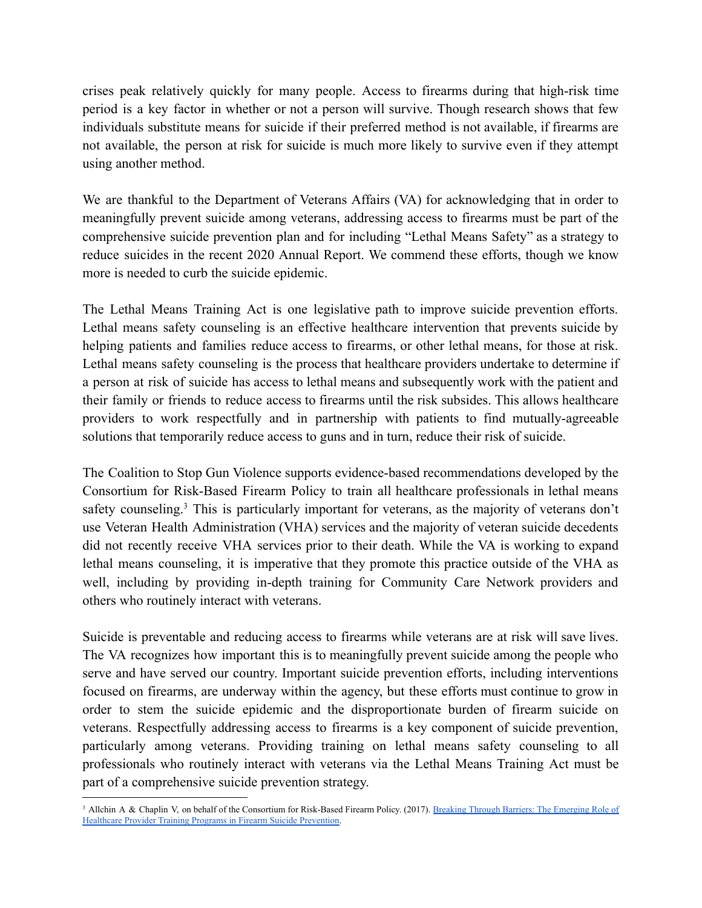crises peak relatively quickly for many people. Access to firearms during that high-risk time period is a key factor in whether or not a person will survive. Though research shows that few individuals substitute means for suicide if their preferred method is not available, if firearms are not available, the person at risk for suicide is much more likely to survive even if they attempt using another method.

We are thankful to the Department of Veterans Affairs (VA) for acknowledging that in order to meaningfully prevent suicide among veterans, addressing access to firearms must be part of the comprehensive suicide prevention plan and for including "Lethal Means Safety" as a strategy to reduce suicides in the recent 2020 Annual Report. We commend these efforts, though we know more is needed to curb the suicide epidemic.

The Lethal Means Training Act is one legislative path to improve suicide prevention efforts. Lethal means safety counseling is an effective healthcare intervention that prevents suicide by helping patients and families reduce access to firearms, or other lethal means, for those at risk. Lethal means safety counseling is the process that healthcare providers undertake to determine if a person at risk of suicide has access to lethal means and subsequently work with the patient and their family or friends to reduce access to firearms until the risk subsides. This allows healthcare providers to work respectfully and in partnership with patients to find mutually-agreeable solutions that temporarily reduce access to guns and in turn, reduce their risk of suicide.

The Coalition to Stop Gun Violence supports evidence-based recommendations developed by the Consortium for Risk-Based Firearm Policy to train all healthcare professionals in lethal means safety counseling.<sup>3</sup> This is particularly important for veterans, as the majority of veterans don't use Veteran Health Administration (VHA) services and the majority of veteran suicide decedents did not recently receive VHA services prior to their death. While the VA is working to expand lethal means counseling, it is imperative that they promote this practice outside of the VHA as well, including by providing in-depth training for Community Care Network providers and others who routinely interact with veterans.

Suicide is preventable and reducing access to firearms while veterans are at risk will save lives. The VA recognizes how important this is to meaningfully prevent suicide among the people who serve and have served our country. Important suicide prevention efforts, including interventions focused on firearms, are underway within the agency, but these efforts must continue to grow in order to stem the suicide epidemic and the disproportionate burden of firearm suicide on veterans. Respectfully addressing access to firearms is a key component of suicide prevention, particularly among veterans. Providing training on lethal means safety counseling to all professionals who routinely interact with veterans via the Lethal Means Training Act must be part of a comprehensive suicide prevention strategy.

<sup>&</sup>lt;sup>3</sup> Allchin A & Chaplin V, on behalf of the Consortium for Risk-Based Firearm Policy. (2017). Breaking Through Barriers: The [Emerging](https://efsgv.org/wp-content/uploads/2017/09/Breaking-through-Barriers-September-2017-Consortium-for-Risk-Based-Firearm-Policy-FINAL.pdf) Role of [Healthcare](https://efsgv.org/wp-content/uploads/2017/09/Breaking-through-Barriers-September-2017-Consortium-for-Risk-Based-Firearm-Policy-FINAL.pdf) Provider Training Programs in Firearm Suicide Prevention.